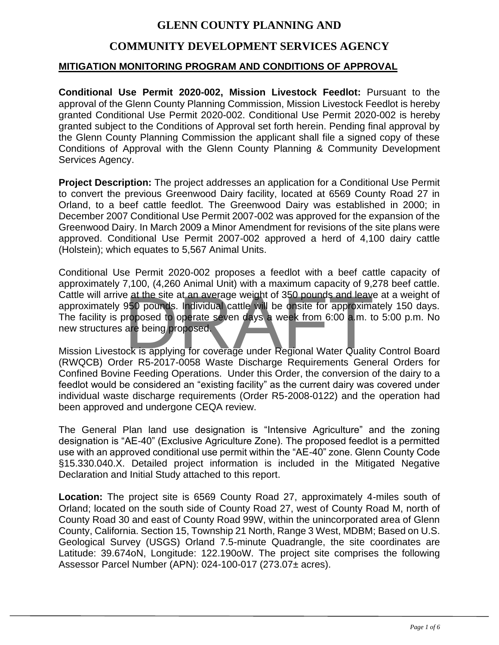# **GLENN COUNTY PLANNING AND**

# **COMMUNITY DEVELOPMENT SERVICES AGENCY**

## **MITIGATION MONITORING PROGRAM AND CONDITIONS OF APPROVAL**

**Conditional Use Permit 2020-002, Mission Livestock Feedlot:** Pursuant to the approval of the Glenn County Planning Commission, Mission Livestock Feedlot is hereby granted Conditional Use Permit 2020-002. Conditional Use Permit 2020-002 is hereby granted subject to the Conditions of Approval set forth herein. Pending final approval by the Glenn County Planning Commission the applicant shall file a signed copy of these Conditions of Approval with the Glenn County Planning & Community Development Services Agency.

**Project Description:** The project addresses an application for a Conditional Use Permit to convert the previous Greenwood Dairy facility, located at 6569 County Road 27 in Orland, to a beef cattle feedlot. The Greenwood Dairy was established in 2000; in December 2007 Conditional Use Permit 2007-002 was approved for the expansion of the Greenwood Dairy. In March 2009 a Minor Amendment for revisions of the site plans were approved. Conditional Use Permit 2007-002 approved a herd of 4,100 dairy cattle (Holstein); which equates to 5,567 Animal Units.

Conditional Use Permit 2020-002 proposes a feedlot with a beef cattle capacity of approximately 7,100, (4,260 Animal Unit) with a maximum capacity of 9,278 beef cattle. Cattle will arrive at the site at an average weight of 350 pounds and leave at a weight of approximately 950 pounds. Individual cattle will be onsite for approximately 150 days. The facility is proposed to operate seven days a week from 6:00 a.m. to 5:00 p.m. No new structures are being proposed. Example at the site at an average weight of 350 pounds and leaver<br>950 pounds. Individual cattle will be onsite for approximation<br>proposed to operate seven days a week from 6:00 a.m. to<br>are being proposed.<br>Inciting the cove

Mission Livestock is applying for coverage under Regional Water Quality Control Board (RWQCB) Order R5-2017-0058 Waste Discharge Requirements General Orders for Confined Bovine Feeding Operations. Under this Order, the conversion of the dairy to a feedlot would be considered an "existing facility" as the current dairy was covered under individual waste discharge requirements (Order R5-2008-0122) and the operation had been approved and undergone CEQA review.

The General Plan land use designation is "Intensive Agriculture" and the zoning designation is "AE-40" (Exclusive Agriculture Zone). The proposed feedlot is a permitted use with an approved conditional use permit within the "AE-40" zone. Glenn County Code §15.330.040.X. Detailed project information is included in the Mitigated Negative Declaration and Initial Study attached to this report.

**Location:** The project site is 6569 County Road 27, approximately 4-miles south of Orland; located on the south side of County Road 27, west of County Road M, north of County Road 30 and east of County Road 99W, within the unincorporated area of Glenn County, California. Section 15, Township 21 North, Range 3 West, MDBM; Based on U.S. Geological Survey (USGS) Orland 7.5-minute Quadrangle, the site coordinates are Latitude: 39.674oN, Longitude: 122.190oW. The project site comprises the following Assessor Parcel Number (APN): 024-100-017 (273.07± acres).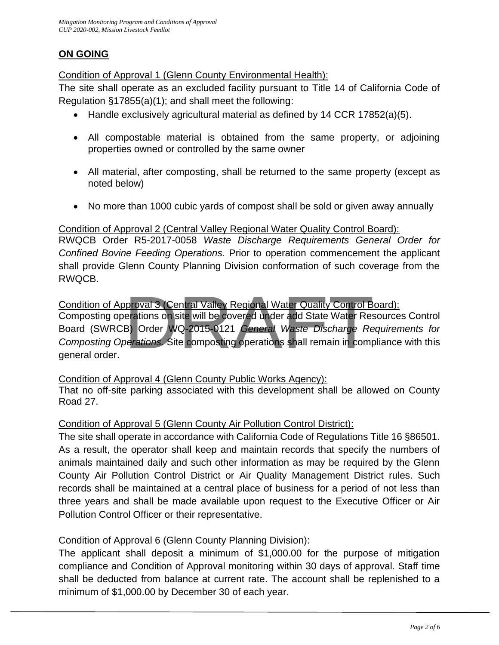# **ON GOING**

Condition of Approval 1 (Glenn County Environmental Health):

The site shall operate as an excluded facility pursuant to Title 14 of California Code of Regulation §17855(a)(1); and shall meet the following:

- Handle exclusively agricultural material as defined by 14 CCR 17852(a)(5).
- All compostable material is obtained from the same property, or adjoining properties owned or controlled by the same owner
- All material, after composting, shall be returned to the same property (except as noted below)
- No more than 1000 cubic yards of compost shall be sold or given away annually

## Condition of Approval 2 (Central Valley Regional Water Quality Control Board):

RWQCB Order R5-2017-0058 *Waste Discharge Requirements General Order for Confined Bovine Feeding Operations.* Prior to operation commencement the applicant shall provide Glenn County Planning Division conformation of such coverage from the RWQCB.

# Condition of Approval 3 (Central Valley Regional Water Quality Control Board):

Composting operations on site will be covered under add State Water Resources Control Board (SWRCB) Order WQ-2015-0121 *General Waste Discharge Requirements for Composting Operations.* Site composting operations shall remain in compliance with this general order. proval 3 (Central Valley Regional Water Quality Control Berations on site will be covered under add State Water Res<br>B) Order WQ-2015-0121 *General Waste Discharge Re*<br>perations. Site composting operations shall remain in c

## Condition of Approval 4 (Glenn County Public Works Agency):

That no off-site parking associated with this development shall be allowed on County Road 27.

## Condition of Approval 5 (Glenn County Air Pollution Control District):

The site shall operate in accordance with California Code of Regulations Title 16 §86501. As a result, the operator shall keep and maintain records that specify the numbers of animals maintained daily and such other information as may be required by the Glenn County Air Pollution Control District or Air Quality Management District rules. Such records shall be maintained at a central place of business for a period of not less than three years and shall be made available upon request to the Executive Officer or Air Pollution Control Officer or their representative.

## Condition of Approval 6 (Glenn County Planning Division):

The applicant shall deposit a minimum of \$1,000.00 for the purpose of mitigation compliance and Condition of Approval monitoring within 30 days of approval. Staff time shall be deducted from balance at current rate. The account shall be replenished to a minimum of \$1,000.00 by December 30 of each year.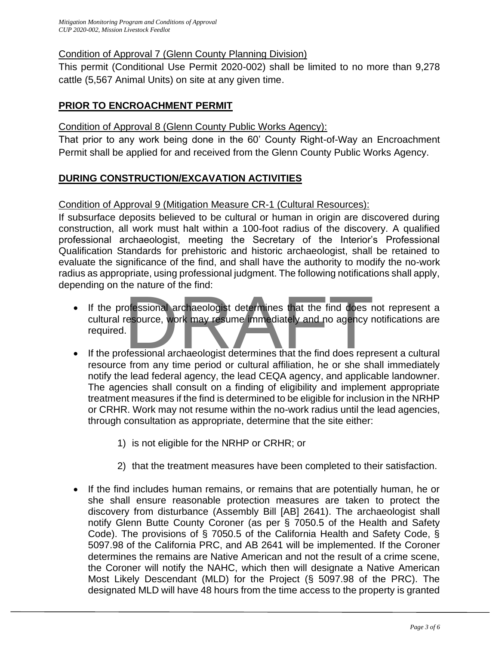## Condition of Approval 7 (Glenn County Planning Division)

This permit (Conditional Use Permit 2020-002) shall be limited to no more than 9,278 cattle (5,567 Animal Units) on site at any given time.

## **PRIOR TO ENCROACHMENT PERMIT**

#### Condition of Approval 8 (Glenn County Public Works Agency):

That prior to any work being done in the 60' County Right-of-Way an Encroachment Permit shall be applied for and received from the Glenn County Public Works Agency.

## **DURING CONSTRUCTION/EXCAVATION ACTIVITIES**

## Condition of Approval 9 (Mitigation Measure CR-1 (Cultural Resources):

If subsurface deposits believed to be cultural or human in origin are discovered during construction, all work must halt within a 100-foot radius of the discovery. A qualified professional archaeologist, meeting the Secretary of the Interior's Professional Qualification Standards for prehistoric and historic archaeologist, shall be retained to evaluate the significance of the find, and shall have the authority to modify the no-work radius as appropriate, using professional judgment. The following notifications shall apply, depending on the nature of the find:

- If the professional archaeologist determines that the find does not represent a cultural resource, work may resume immediately and no agency notifications are required. ofessional archaeologist determines that the find does resource, work may resume immediately and no agency resource, work may resume immediately and no agency resource.
- If the professional archaeologist determines that the find does represent a cultural resource from any time period or cultural affiliation, he or she shall immediately notify the lead federal agency, the lead CEQA agency, and applicable landowner. The agencies shall consult on a finding of eligibility and implement appropriate treatment measures if the find is determined to be eligible for inclusion in the NRHP or CRHR. Work may not resume within the no-work radius until the lead agencies, through consultation as appropriate, determine that the site either:
	- 1) is not eligible for the NRHP or CRHR; or
	- 2) that the treatment measures have been completed to their satisfaction.
- If the find includes human remains, or remains that are potentially human, he or she shall ensure reasonable protection measures are taken to protect the discovery from disturbance (Assembly Bill [AB] 2641). The archaeologist shall notify Glenn Butte County Coroner (as per § 7050.5 of the Health and Safety Code). The provisions of § 7050.5 of the California Health and Safety Code, § 5097.98 of the California PRC, and AB 2641 will be implemented. If the Coroner determines the remains are Native American and not the result of a crime scene, the Coroner will notify the NAHC, which then will designate a Native American Most Likely Descendant (MLD) for the Project (§ 5097.98 of the PRC). The designated MLD will have 48 hours from the time access to the property is granted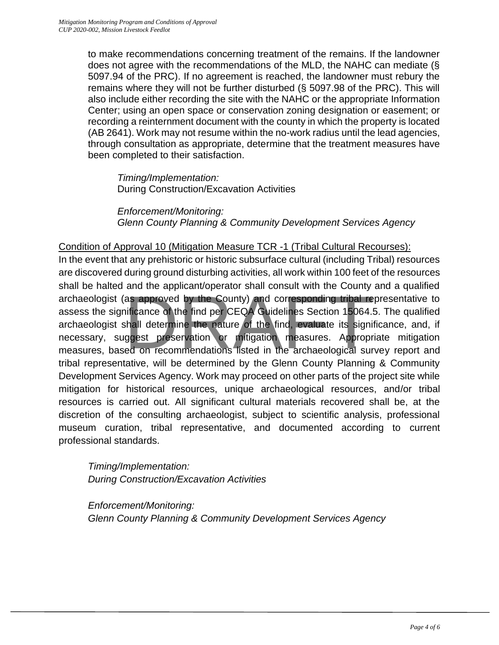to make recommendations concerning treatment of the remains. If the landowner does not agree with the recommendations of the MLD, the NAHC can mediate (§ 5097.94 of the PRC). If no agreement is reached, the landowner must rebury the remains where they will not be further disturbed (§ 5097.98 of the PRC). This will also include either recording the site with the NAHC or the appropriate Information Center; using an open space or conservation zoning designation or easement; or recording a reinternment document with the county in which the property is located (AB 2641). Work may not resume within the no-work radius until the lead agencies, through consultation as appropriate, determine that the treatment measures have been completed to their satisfaction.

*Timing/Implementation:*  During Construction/Excavation Activities

*Enforcement/Monitoring: Glenn County Planning & Community Development Services Agency*

## Condition of Approval 10 (Mitigation Measure TCR -1 (Tribal Cultural Recourses):

In the event that any prehistoric or historic subsurface cultural (including Tribal) resources are discovered during ground disturbing activities, all work within 100 feet of the resources shall be halted and the applicant/operator shall consult with the County and a qualified archaeologist (as approved by the County) and corresponding tribal representative to assess the significance of the find per CEQA Guidelines Section 15064.5. The qualified archaeologist shall determine the nature of the find, evaluate its significance, and, if necessary, suggest preservation or mitigation measures. Appropriate mitigation measures, based on recommendations listed in the archaeological survey report and tribal representative, will be determined by the Glenn County Planning & Community Development Services Agency. Work may proceed on other parts of the project site while mitigation for historical resources, unique archaeological resources, and/or tribal resources is carried out. All significant cultural materials recovered shall be, at the discretion of the consulting archaeologist, subject to scientific analysis, professional museum curation, tribal representative, and documented according to current professional standards. as approved by the County) and corresponding tribal resificance of the find per CEQA Guidelines Section 15064.<br>
Shall determine the nature of the find, evaluate its significance of the nature of the find, evaluate its sign

*Timing/Implementation: During Construction/Excavation Activities*

*Enforcement/Monitoring: Glenn County Planning & Community Development Services Agency*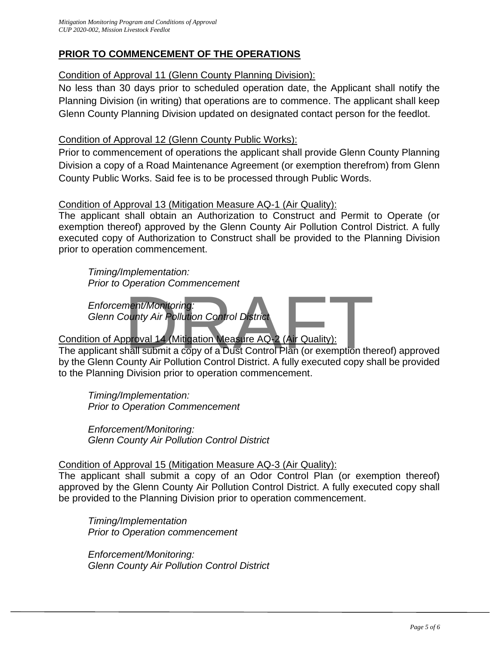# **PRIOR TO COMMENCEMENT OF THE OPERATIONS**

# Condition of Approval 11 (Glenn County Planning Division):

No less than 30 days prior to scheduled operation date, the Applicant shall notify the Planning Division (in writing) that operations are to commence. The applicant shall keep Glenn County Planning Division updated on designated contact person for the feedlot.

## Condition of Approval 12 (Glenn County Public Works):

Prior to commencement of operations the applicant shall provide Glenn County Planning Division a copy of a Road Maintenance Agreement (or exemption therefrom) from Glenn County Public Works. Said fee is to be processed through Public Words.

## Condition of Approval 13 (Mitigation Measure AQ-1 (Air Quality):

The applicant shall obtain an Authorization to Construct and Permit to Operate (or exemption thereof) approved by the Glenn County Air Pollution Control District. A fully executed copy of Authorization to Construct shall be provided to the Planning Division prior to operation commencement.

*Timing/Implementation: Prior to Operation Commencement*

*Enforcement/Monitoring: Glenn County Air Pollution Control District*

# Condition of Approval 14 (Mitigation Measure AQ-2 (Air Quality):

The applicant shall submit a copy of a Dust Control Plan (or exemption thereof) approved by the Glenn County Air Pollution Control District. A fully executed copy shall be provided to the Planning Division prior to operation commencement. ment/Monitoring:<br>
nent/Monitoring:<br>
proval 14 (Mitigation Measure AQ-2 (Air Quality):<br>
hall submit a copy of a Dust Control Plan (or exemption the<br>
punty Air Pollution Control District, A fully executed copy sk

*Timing/Implementation: Prior to Operation Commencement*

*Enforcement/Monitoring: Glenn County Air Pollution Control District*

# Condition of Approval 15 (Mitigation Measure AQ-3 (Air Quality):

The applicant shall submit a copy of an Odor Control Plan (or exemption thereof) approved by the Glenn County Air Pollution Control District. A fully executed copy shall be provided to the Planning Division prior to operation commencement.

*Timing/Implementation Prior to Operation commencement*

*Enforcement/Monitoring: Glenn County Air Pollution Control District*